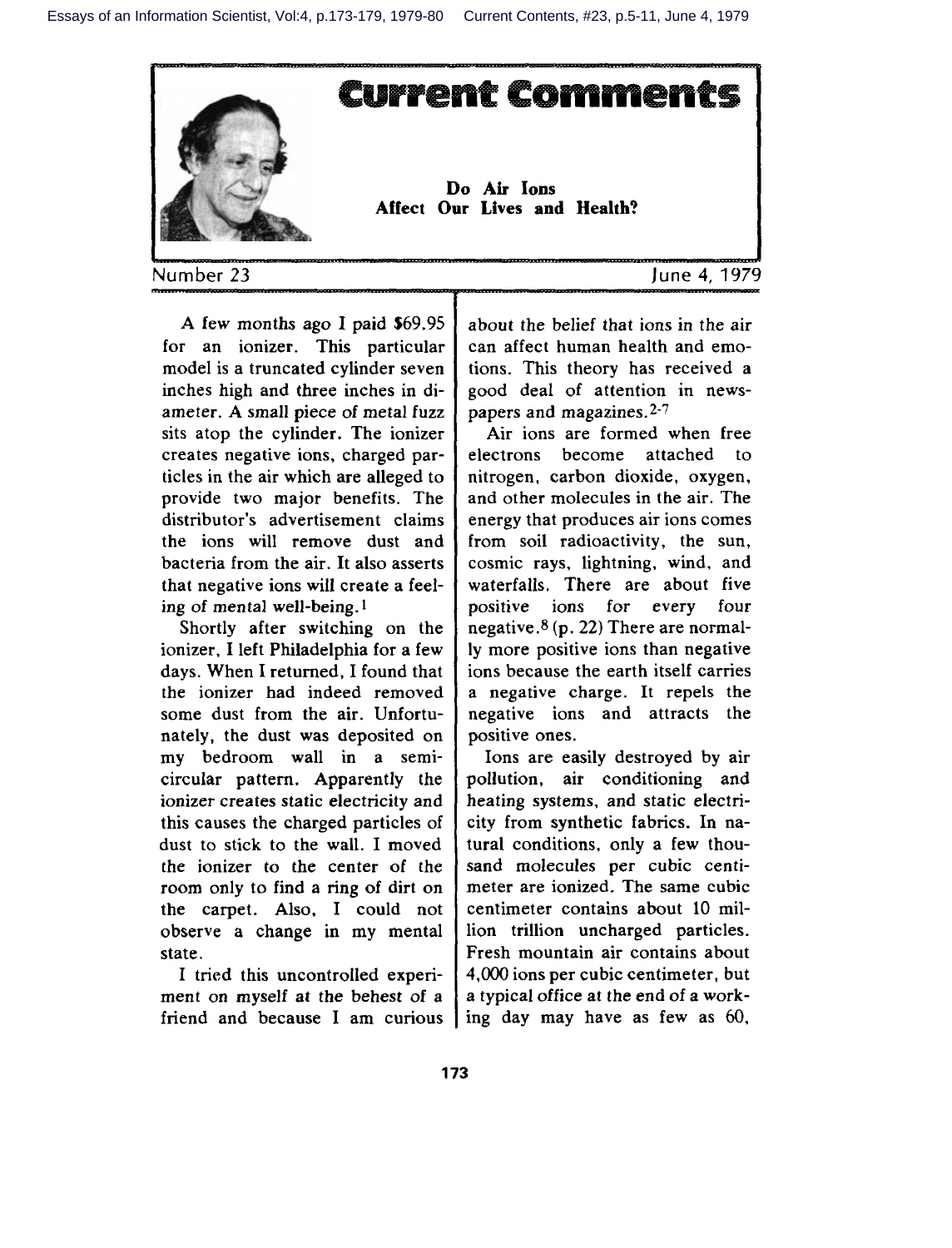

Number **23 June 4, 197'**

A few months ago I paid \$69.95 for an ionizer. This particular model is a truncated cylinder seven inches high and three inches in diameter. A small piece of metal fuzz sits atop the cylinder. The ionizer creates negative ions, charged particles in the air which are alleged to provide two major benefits. The distributor's advertisement claims the ions will remove dust and bacteria from the air. It also asserts that negative ions will create a feeling of mental well-being. 1

Shortly after switching on the ionizer, I left Philadelphia for a few days. When I returned, I found that the ionizer had indeed removed some dust from the air. Unfortunately, the dust was deposited on my bedroom wall in a semicircular pattern. Apparently the ionizer creates static electricity and this causes the charged particles of dust to stick to the wall. I moved the ionizer to the center of the room only to find a ring of dirt on the carpet. Also, I could not observe a change in my mental state.

I tried this uncontrolled experiment on myself at the behest of a friend and because I am curious

about the belief that ions in the air can affect human health and emotions. This theory has received a good deal of attention in newspapers and magazines. $2-7$ 

Air ions are formed when free electrons become attached to nitrogen, carbon dioxide, oxygen, and other molecules in the air. The energy that produces air ions comes from soil radioactivity, the sun, cosmic rays, lightning, wind, and waterfalls. There are about five positive ions for every four negative. $8(p. 22)$  There are normally more positive ions than negative ions because the earth itself carries a negative charge. It repels the negative ions and attracts the positive ones.

Ions are easily destroyed by air pollution, air conditioning and heating systems, and static electricity from synthetic fabrics. In natural conditions, only a few thousand molecules per cubic centimeter are ionized. The same cubic centimeter contains about 10 million trillion uncharged particles. Fresh mountain air contains about 4,000 ions per cubic centimeter, but a typical office at the end of a working day may have as few as 60,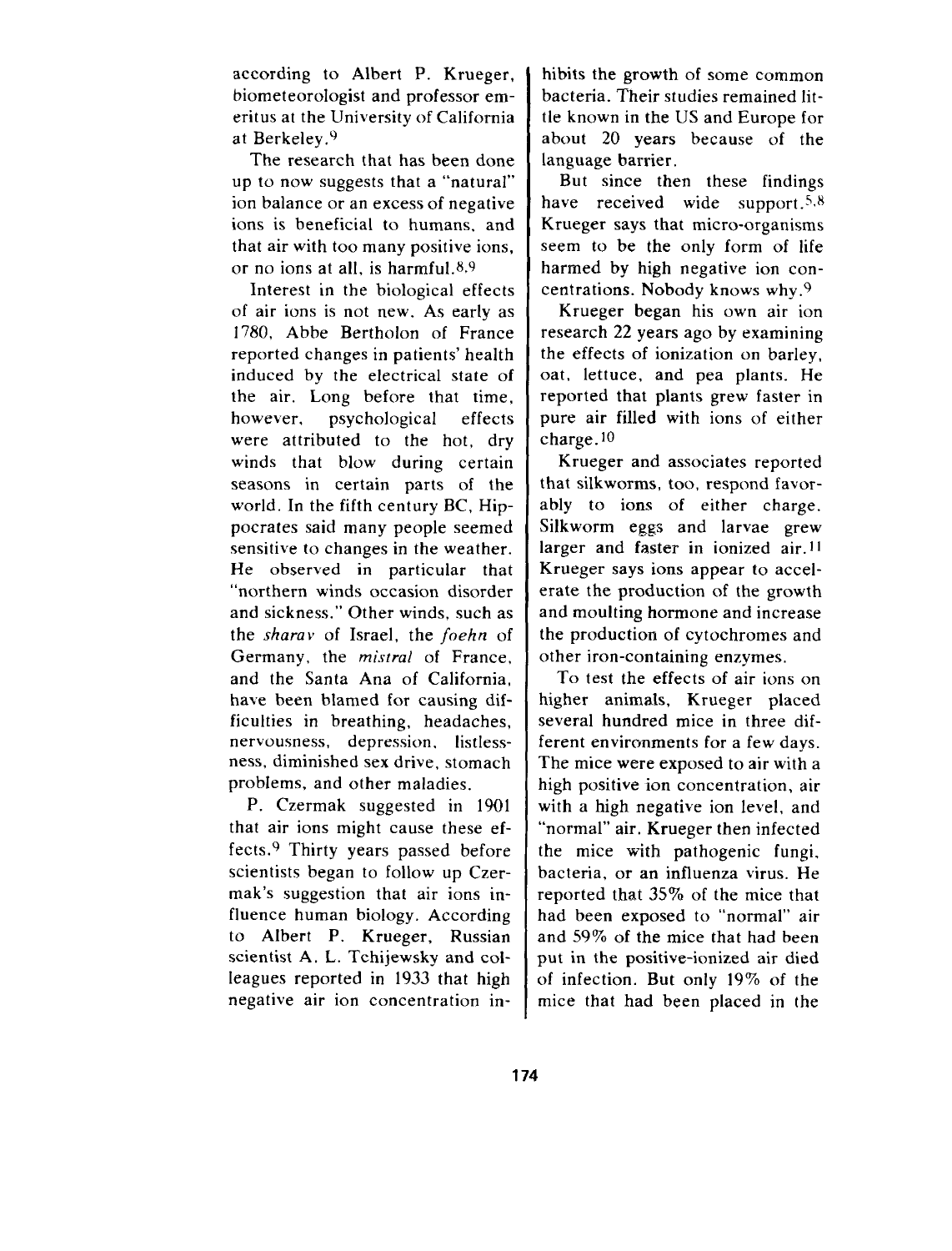according to Albert P. Krueger, biometeorologist and professor emeritusat the Universityof California at Berkeley.<sup>9</sup>

The research that has been done up to now suggests that a "natural" ion balance or an excess of negative ions is beneficial to humans, and that air with too many positive ions, or no ions at all, is harmful. $8.9$ 

Interest in the biological effects of air ions is not new. As early as 1780, Abbe Bertholon of France reported changes in patients' health induced by the electrical state of the air. Long before that time, however, psychological effects were attributed to the hot, dry winds that blow during certain seasons in certain parts of the world. In the fifth century BC, Hippocrates said many people seemed sensitive to changes in the weather. He observed in particular that "northern winds occasion disorder and sickness. " Other winds, such as the *sharav* of Israel, the *foehn* of Germany, the *mistral* of France, and the Santa Ana of California, have been blamed for causing difficulties in breathing, headaches, nervousness, depression, listlessness, diminished sex drive, stomach problems, and other maladies.

P. Czermak suggested in 1901 that air ions might cause these effects.<sup>9</sup> Thirty years passed before scientists began to follow up Czermak's suggestion that air ions influence human biology. According to Albert P. Krueger, Russian scientist A. L. Tchijewsky and colleagues reported in 1933 that high negative air ion concentration inhibits the growth of some common bacteria. Their studies remained little known in the US and Europe for about 20 years because of the language barrier.

But since then these findings have received wide support. $5.8$ Krueger says that micro-organisms seem to be the only form of life harmed by high negative ion concentrations. Nobody knows why. $9$ 

Krueger began his own air ion research 22 years ago by examining the effects of ionization on barley, oat, lettuce, and pea plants. He reported that plants grew faster in pure air filled with ions of either charge. 10

Krueger and associates reported that silkworms, too, respond favorably to ions of either charge. Silkworm eggs and larvae grew larger and faster in ionized air. 11 Krueger says ions appear to accelerate the production of the growth and moulting hormone and increase the production of cytochromes and other iron-containing enzymes.

To test the effects of air ions on higher animals, Krueger placed several hundred mice in three different environments for a few days. The mice were exposed to air with a high positive ion concentration, air with a high negative ion level, and "normal" air. Krueger then infected the mice with pathogenic fungi, bacteria, or an influenza virus. He reported that 35% of the mice that had been exposed to "normal" air and 59% of the mice that had been put in the positive-ionized air died of infection. But only 19% of the mice that had been placed in the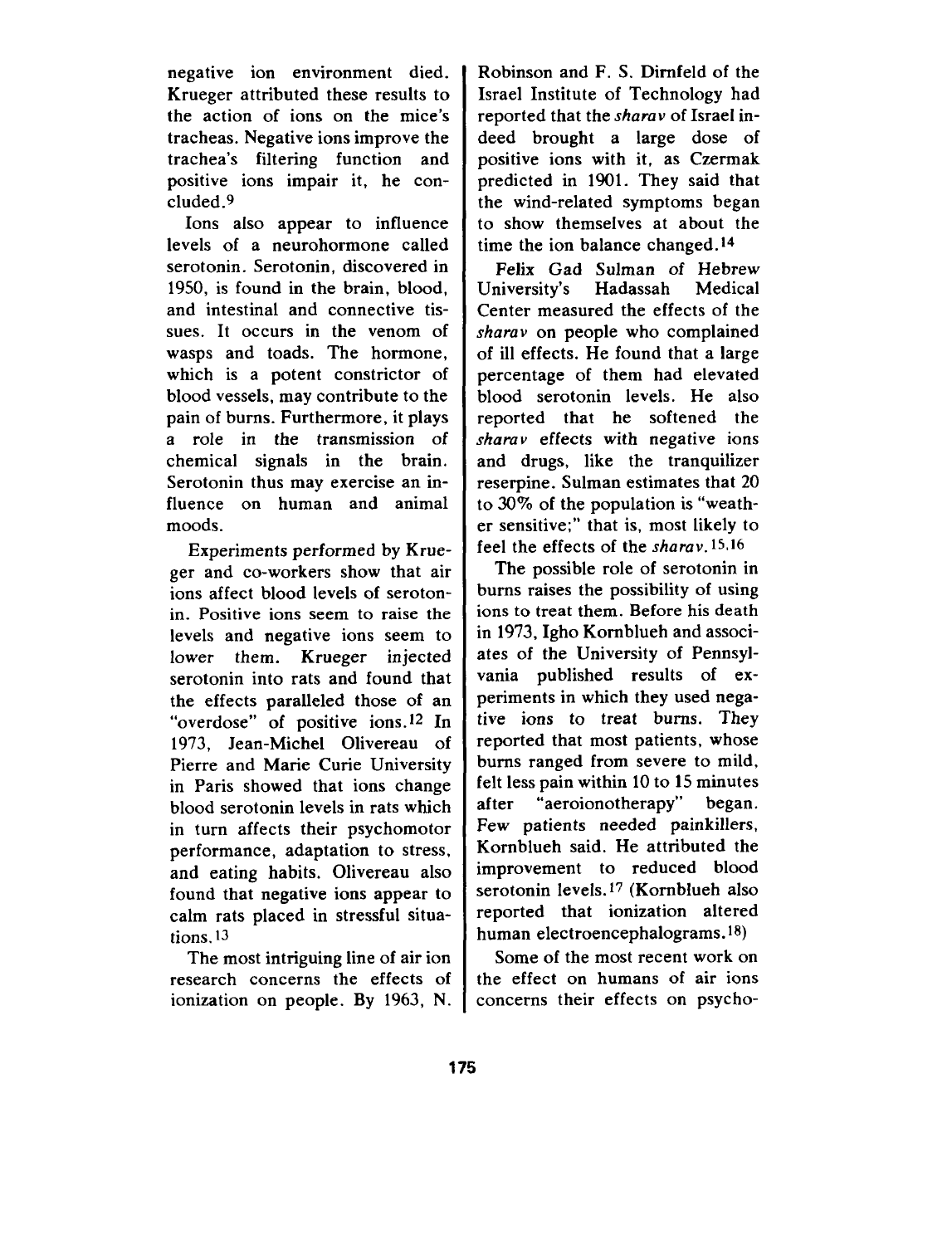negative ion environment died. Krueger attributed these results to the action of ions on the mice's tracheas. Negative ions improve the trachea's filtering function and positive ions impair it, he coneluded.g

Ions also appear to influence levels of a neurohormone called serotonin. Serotonin, discovered in 1950, is found in the brain, blood, and intestinal and connective tissues. It occurs in the venom of wasps and toads. The hormone, which is a potent constrictor of blood vessels, may contribute to the pain of burns. Furthermore, it plays a role in the transmission of chemical signals in the brain. Serotonin thus may exercise an influence on human and animal moods.

Experiments performed by Krueger and co-workers show that air ions affect blood levels of serotonin. Positive ions seem to raise the levels and negative ions seem to lower them. Krueger injected serotonin into rats and found that the effects paralleled those of an "overdose" of positive ions.<sup>12</sup> In 1973, Jean-Michel Olivereau of Pierre and Marie Curie University in Paris showed that ions change blood serotonin levels in rats which in turn affects their psychomotor performance, adaptation to stress, and eating habits. Olivereau also found that negative ions appear to calm rats placed in stressful situations. 13

The most intriguing line of air ion research concerns the effects of ionization on people. By 1963, N.

Robinson and F. S. Dimfeld of the Israel Institute of Technology had reported that the sharav of Israel indeed brought a large dose of positive ions with it, as Czermak predicted in 1901. They said that the wind-related symptoms began to show themselves at about the time the ion balance changed. 14

Felix Gad Sulman of Hebrew<br>niversity's Hadassah Medical University's Center measured the effects of the *sharav* on people who complained of ill effects. He found that a large percentage of them had elevated blood serotonin levels. He also reported that he softened the  $\frac{1}{10}$  sharav effects with negative ions and drugs, like the tranquilizer reserpine. Sulman estimates that 20 to 30% of the population is "weather sensitive;" that is, most likely to feel the effects of the *sharav.* 15,16

The possible role of serotonin in bums raises the possibility of using ions to treat them. Before his death in 1973, Igho Komblueh and associates of the University of Pennsylvania published results of experiments in which they used negative ions to treat burns. They reported that most patients, whose bums ranged from severe to mild, felt less pain within 10 to 15 minutes after "aeroionotherapy" began. Few patients needed painkillers, Kornblueh said. He attributed the improvement to reduced blood serotonin levels.<sup>17</sup> (Kornblueh also reported that ionization altered human electroencephalograms.<sup>18</sup>)

Some of the most recent work on the effect on humans of air ions concerns their effects on psycho-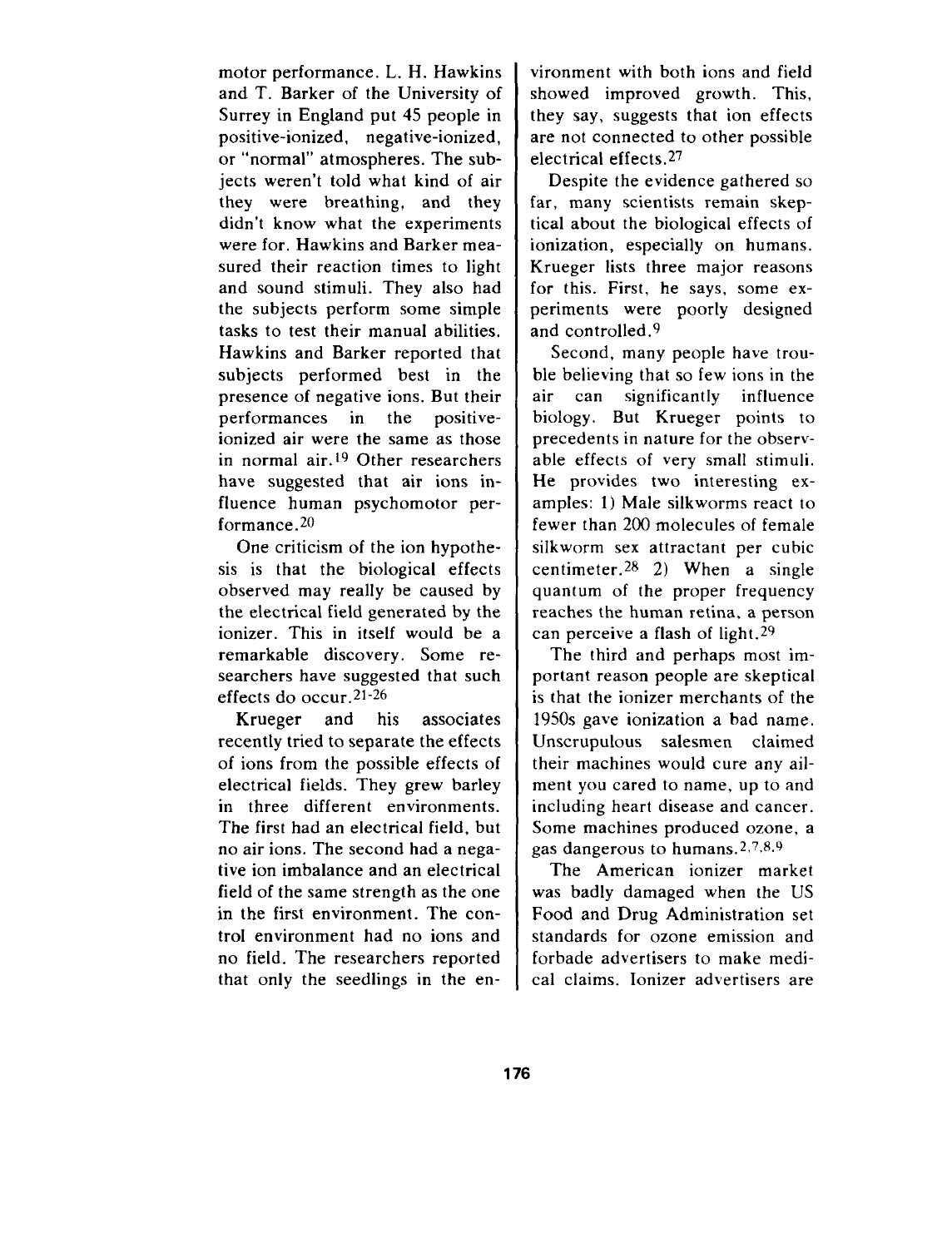motor performance. L. H. Hawkins and T. Barker of the University of Surrey in England put 45 people in positive-ionized, negative-ionized, or "normal" atmospheres. The subjects weren't told what kind of air they were breathing, and they didn't know what the experiments were for, Hawkins and Barker measured their reaction times to light and sound stimuli. They also had the subjects perform some simple tasks to test their manual abilities. Hawkins and Barker reported that subjects performed best in the presence of negative ions. But their performances in the positiveionized air were the same as those in normal air. 19 Other researchers have suggested that air ions influence human psychomotor performance.<sup>20</sup>

One criticism of the ion hypothesis is that the biological effects observed may really be caused by the electrical field generated by the ionizer. This in itself would be a remarkable discovery. Some researchers have suggested that such effects do occur.  $21-26$ 

Krueger and his associates recently tried to separate the effects of ions from the possible effects of electrical fields. They grew barley in three different environments. The first had an electrical field, but no air ions. The second had a negative ion imbalance and an electrical field of the same strength as the one in the first environment. The control environment had no ions and no field. The researchers reported that only the seedlings in the environment with both ions and field showed improved growth. This, they say, suggests that ion effects are not connected to other possible electrical effects.<sup>27</sup>

Despite the evidence gathered so far, many scientists remain skeptical about the biological effects of ionization, especially on humans. Krueger lists three major reasons for this. First, he says, some experiments were poorly designed and controlled. $9$ 

Second, many people have trouble believing that so few ions in the air can significantly influence biology. But Krueger points to precedents in nature for the observable effects of very small stimuli. He provides two interesting examples: 1) Male silkworms react to fewer than 200 molecules of female silkworm sex attractant per cubic centimeter.  $28 \quad 2)$  When a single quantum of the proper frequency reaches the human retina, a person can perceive a flash of light.<sup>29</sup>

The third and perhaps most important reason people are skeptical is that the ionizer merchants of the 1950s gave ionization a bad name. Unscrupulous salesmen claimed their machines would cure any ailment you cared to name, up to and including heart disease and cancer. Some machines produced ozone, a gas dangerous to humans.  $2,7,8,9$ 

The American ionizer market was badly damaged when the US Food and Drug Administration set standards for ozone emission and forbade advertisers to make medical claims. Ionizer advertisers are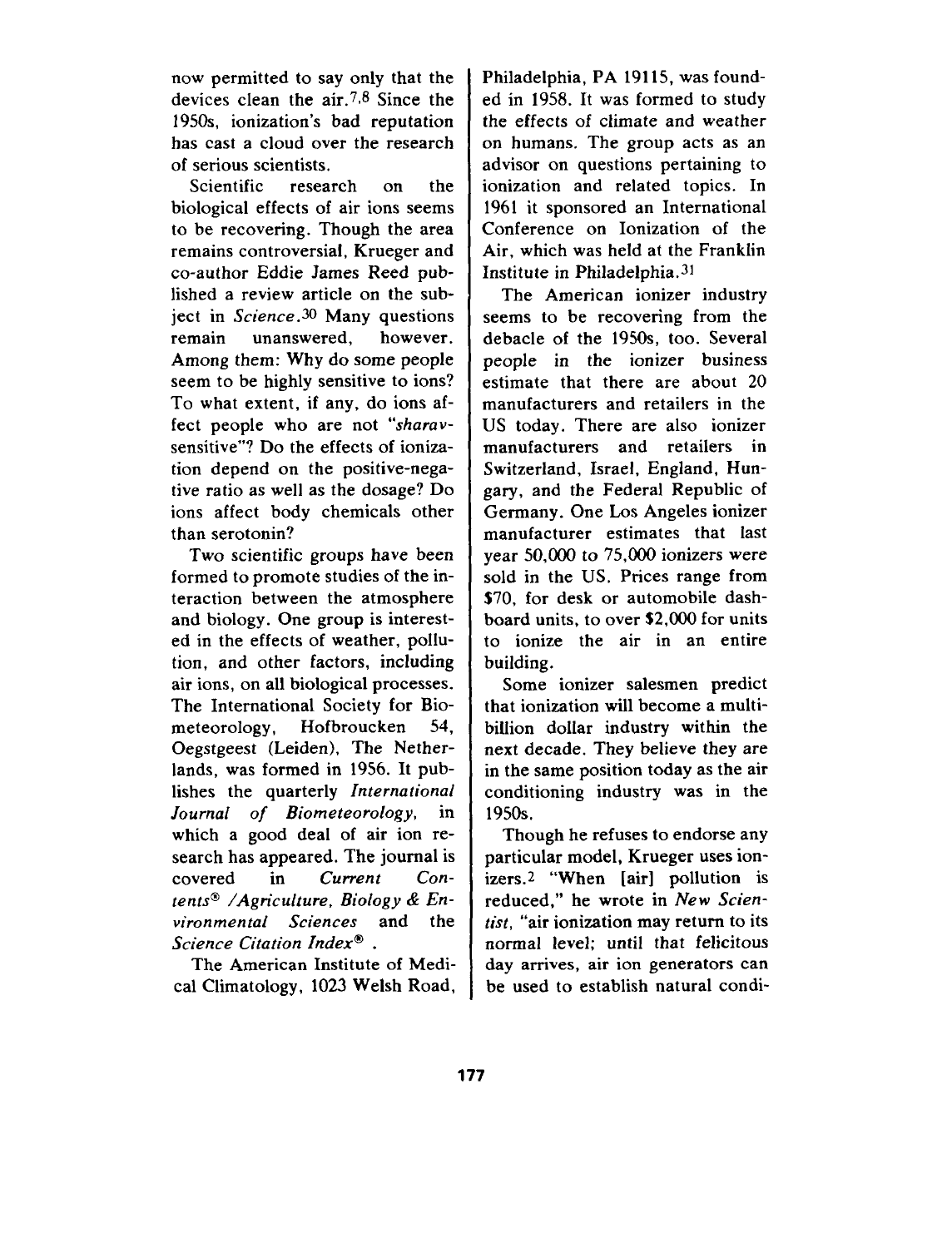now permitted to say only that the devices clean the air.7,8 Since the 1950s, ionization's bad reputation has cast a cloud over the research of serious scientists.

Scientific research on the biological effects of air ions seems to be recovering. Though the area remains controversial, Krueger and co-author Eddie James Reed published a review article on the subject in *Science .30* Many questions remain unanswered, however. Among them: Why do some people seem to be highly sensitive to ions? To what extent, if any, do ions affect people who are not *"sharav*sensitive"? Do the effects of ionization depend on the positive-negative ratio as well as the dosage? Do ions affect body chemicals other than serotonin?

Two scientific groups have been formed to promote studies of the interaction between the atmosphere and biology. One group is interested in the effects of weather, pollution, and other factors, including air ions, on all biological processes. The International Society for Biometeorology, Hofbroucken 54, Oegstgeest (Leiden), The Netherlands, was formed in 1956. It publishes the quarterly *International Journal of Biometeorology,* in which a good deal of air ion research has appeared. The journal is covered in *Current Con* $tents^{\circledast}$  /Agriculture, Biology & En*vironmental Sciences* and the  $Science$  *Citation Index<sup>®</sup>* .

The American Institute of Medical Climatology, 1023 Welsh Road, Philadelphia, PA 19115, was founded in 1958. It was formed to study the effects of climate and weather on humans. The group acts as an advisor on questions pertaining to ionization and related topics. In 1961 it sponsored an International Conference on Ionization of the Air, which was held at the Franklin Institute in Philadelphia.<sup>31</sup>

The American ionizer industry seems to be recovering from the debacle of the 1950s, too. Several people in the ionizer business estimate that there are about 20 manufacturers and retailers in the US today. There are also ionizer manufacturers and retailers in Switzerland, Israel, England, Hungary, and the Federal Republic of Germany. One Los Angeles ionizer manufacturer estimates that last year 50,000 to 75,000 ionizers were sold in the US. Prices range from \$70, for desk or automobile dashboard units, to over \$2,000 for units to ionize the air in an entire building.

Some ionizer salesmen predict that ionization will become a multibillion dollar industry within the next decade. They believe they are in the same position today as the air conditioning industry was in the 1950s.

Though he refuses to endorse any particular model, Krueger uses ionizers.z "When [air] pollution is reduced," he wrote in New *Scientist,* "air ionization may return to its normal level; until that felicitous day arrives, air ion generators can be used to establish natural condi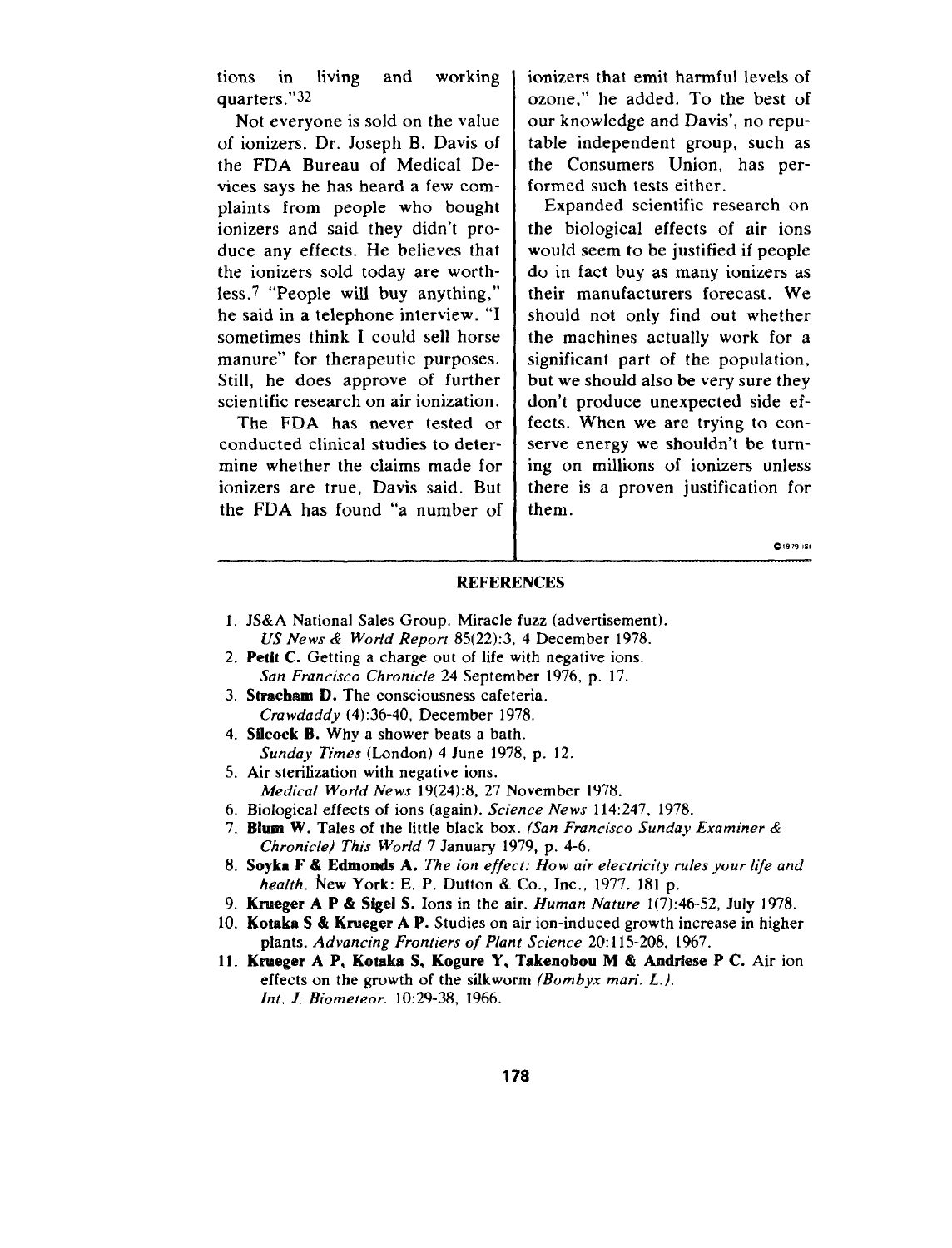tions in living and working quarters."32

Not everyone is sold on the value of ionizers. Dr. Joseph B. Davis of the FDA Bureau of Medical Devices says he has heard a few complaints from people who bought ionizers and said they didn't produce any effects. He believes that the ionizers sold today are worthless.7 "People will buy anything," he said in a telephone interview. "I sometimes think I could sell horse manure" for therapeutic purposes. Still, he does approve of further scientific research on air ionization.

The FDA has never tested or conducted clinical studies to determine whether the claims made for ionizers are true, Davis said. But the FDA has found "a number of

ionizers that emit harmful levels of ozone," he added. To the best of our knowledge and Davis', no reputable independent group, such as the Consumers Union, has performed such tests either.

Expanded scientific research on the biological effects of air ions would seem to be justified if people do in fact buy as many ionizers as their manufacturers forecast. We should not only find out whether the machines actually work for a significant part of the population, but we should also be very sure they don't produce unexpected side effects. When we are trying to conserve energy we shouldn't be turning on millions of ionizers unless there is a proven justification for them.

**0,979 ,s0**

## REFERENCES

- 1. JS&A National Sales Group. Miracle fuzz (advertisemer *US News & World Repot-t 85(22):3, 4* December 1978.
- 2. **Petit C.** Getting a charge out of life with negative ions. *San Fmncisco Chronicle 24* September 1976, p. 17.
- 3. Stracham D. The consciousness cafeteria *Cra wdaddy (4):36-40,* December 1978.
- 4. **Sifcock B. Why** a shower beats a bath. *Sunday Times* (London) 4 June 1978, p. 12.
- 5. Air sterilization with negative ions. *Medical World News 19(24):8, 27* November 1978.
- 6. Biological effects of ions (again). *Science News* 114:247, 1978.
- 7. **Blum W.** Tales of the little black box. *(San Francisco Sunday Examiner & Chronicle) This World 7* January 1979, p. 4-6.
- 8. **Soyka F & Edrnonds A.** *The ion effect: How air electricity rules your life and health. New* York: E. P. Dutton & Co., Inc., 1977. 181 p.
- 9. **Krueger A P & Sfgel S.** Ions in the air. *Human Nature 1(7):46-52,* July 1978.
- 10. **Kotaka S & Krueger A P.** Studies on air ion-induced growth increase in higher plants. *Advancing Frontiers of Plant Science 20:115-208,* 1967.
- 11. **Krueger A P, Kotdca S, Kogure Y, Takenobou M & Ardriese** P C. Air ion effects on the growth of the silkworm *(Bombyx mari. L.). Int. J. Biometeor. 10:29-38, 1966.*